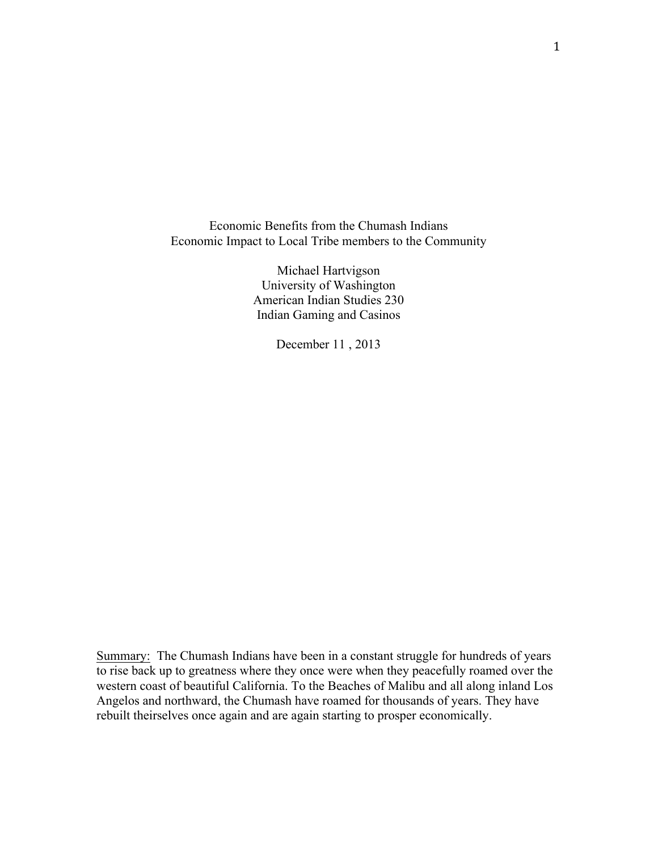Economic Benefits from the Chumash Indians Economic Impact to Local Tribe members to the Community

> Michael Hartvigson University of Washington American Indian Studies 230 Indian Gaming and Casinos

> > December 11 , 2013

Summary: The Chumash Indians have been in a constant struggle for hundreds of years to rise back up to greatness where they once were when they peacefully roamed over the western coast of beautiful California. To the Beaches of Malibu and all along inland Los Angelos and northward, the Chumash have roamed for thousands of years. They have rebuilt theirselves once again and are again starting to prosper economically.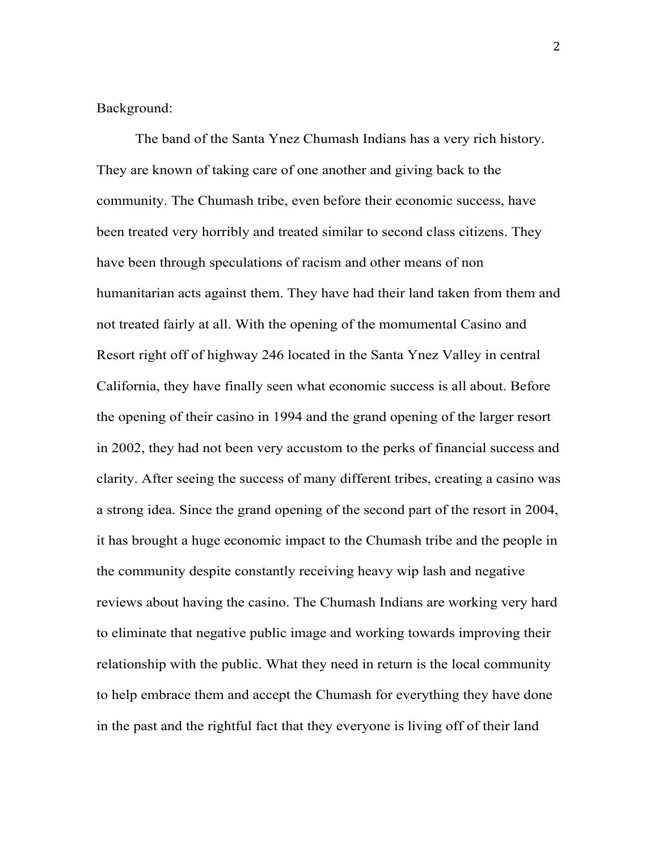## Background:

The band of the Santa Ynez Chumash Indians has a very rich history. They are known of taking care of one another and giving back to the community. The Chumash tribe, even before their economic success, have been treated very horribly and treated similar to second class citizens. They have been through speculations of racism and other means of non humanitarian acts against them. They have had their land taken from them and not treated fairly at all. With the opening of the momumental Casino and Resort right off of highway 246 located in the Santa Ynez Valley in central California, they have finally seen what economic success is all about. Before the opening of their casino in 1994 and the grand opening of the larger resort in 2002, they had not been very accustom to the perks of financial success and clarity. After seeing the success of many different tribes, creating a casino was a strong idea. Since the grand opening of the second part of the resort in 2004, it has brought a huge economic impact to the Chumash tribe and the people in the community despite constantly receiving heavy wip lash and negative reviews about having the casino. The Chumash Indians are working very hard to eliminate that negative public image and working towards improving their relationship with the public. What they need in return is the local community to help embrace them and accept the Chumash for everything they have done in the past and the rightful fact that they everyone is living off of their land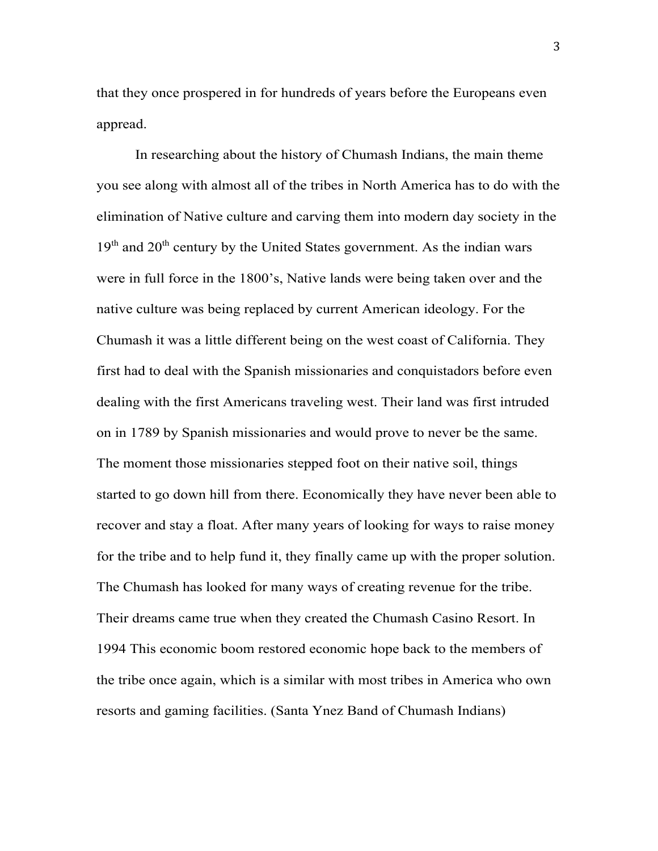that they once prospered in for hundreds of years before the Europeans even appread.

In researching about the history of Chumash Indians, the main theme you see along with almost all of the tribes in North America has to do with the elimination of Native culture and carving them into modern day society in the  $19<sup>th</sup>$  and  $20<sup>th</sup>$  century by the United States government. As the indian wars were in full force in the 1800's, Native lands were being taken over and the native culture was being replaced by current American ideology. For the Chumash it was a little different being on the west coast of California. They first had to deal with the Spanish missionaries and conquistadors before even dealing with the first Americans traveling west. Their land was first intruded on in 1789 by Spanish missionaries and would prove to never be the same. The moment those missionaries stepped foot on their native soil, things started to go down hill from there. Economically they have never been able to recover and stay a float. After many years of looking for ways to raise money for the tribe and to help fund it, they finally came up with the proper solution. The Chumash has looked for many ways of creating revenue for the tribe. Their dreams came true when they created the Chumash Casino Resort. In 1994 This economic boom restored economic hope back to the members of the tribe once again, which is a similar with most tribes in America who own resorts and gaming facilities. (Santa Ynez Band of Chumash Indians)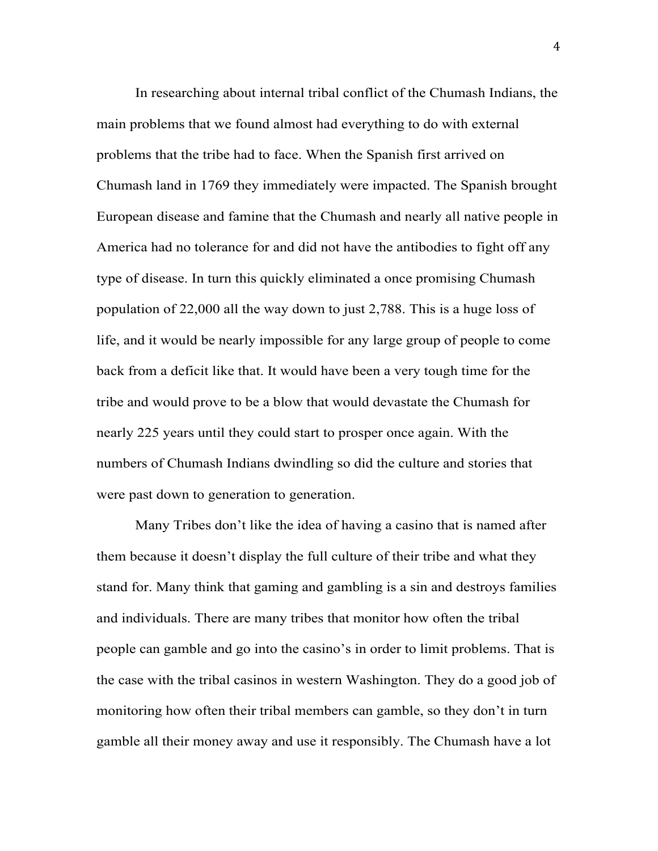In researching about internal tribal conflict of the Chumash Indians, the main problems that we found almost had everything to do with external problems that the tribe had to face. When the Spanish first arrived on Chumash land in 1769 they immediately were impacted. The Spanish brought European disease and famine that the Chumash and nearly all native people in America had no tolerance for and did not have the antibodies to fight off any type of disease. In turn this quickly eliminated a once promising Chumash population of 22,000 all the way down to just 2,788. This is a huge loss of life, and it would be nearly impossible for any large group of people to come back from a deficit like that. It would have been a very tough time for the tribe and would prove to be a blow that would devastate the Chumash for nearly 225 years until they could start to prosper once again. With the numbers of Chumash Indians dwindling so did the culture and stories that were past down to generation to generation.

Many Tribes don't like the idea of having a casino that is named after them because it doesn't display the full culture of their tribe and what they stand for. Many think that gaming and gambling is a sin and destroys families and individuals. There are many tribes that monitor how often the tribal people can gamble and go into the casino's in order to limit problems. That is the case with the tribal casinos in western Washington. They do a good job of monitoring how often their tribal members can gamble, so they don't in turn gamble all their money away and use it responsibly. The Chumash have a lot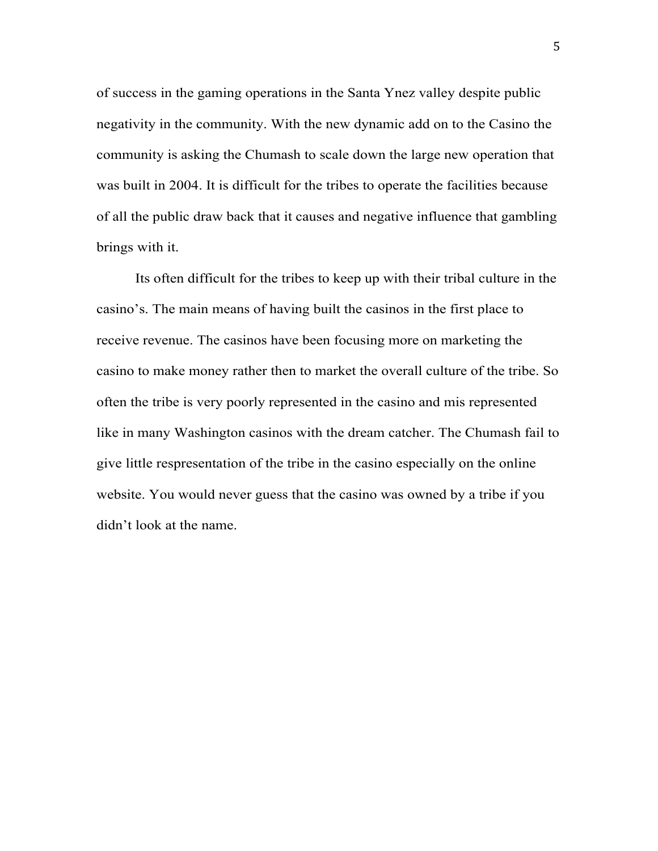of success in the gaming operations in the Santa Ynez valley despite public negativity in the community. With the new dynamic add on to the Casino the community is asking the Chumash to scale down the large new operation that was built in 2004. It is difficult for the tribes to operate the facilities because of all the public draw back that it causes and negative influence that gambling brings with it.

Its often difficult for the tribes to keep up with their tribal culture in the casino's. The main means of having built the casinos in the first place to receive revenue. The casinos have been focusing more on marketing the casino to make money rather then to market the overall culture of the tribe. So often the tribe is very poorly represented in the casino and mis represented like in many Washington casinos with the dream catcher. The Chumash fail to give little respresentation of the tribe in the casino especially on the online website. You would never guess that the casino was owned by a tribe if you didn't look at the name.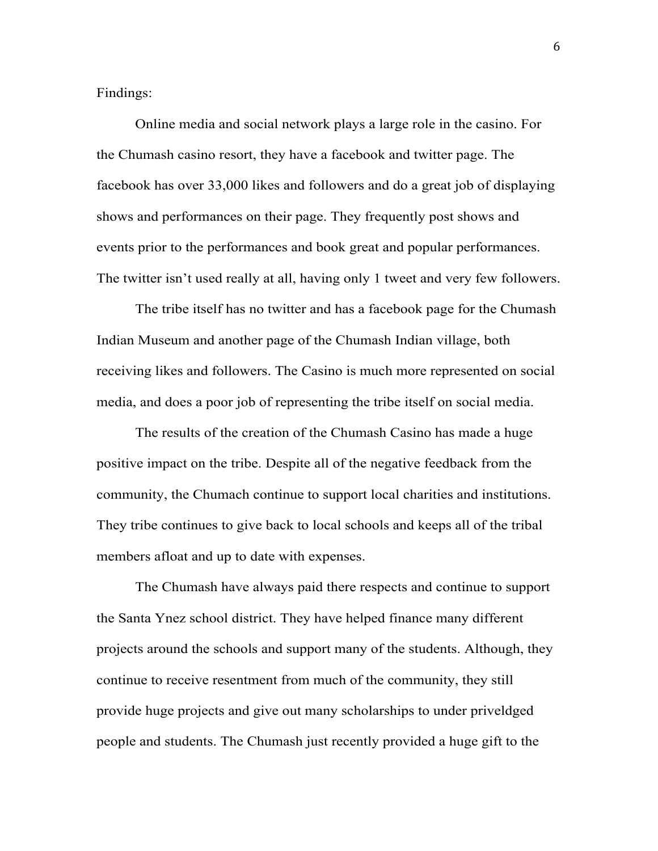Findings:

Online media and social network plays a large role in the casino. For the Chumash casino resort, they have a facebook and twitter page. The facebook has over 33,000 likes and followers and do a great job of displaying shows and performances on their page. They frequently post shows and events prior to the performances and book great and popular performances. The twitter isn't used really at all, having only 1 tweet and very few followers.

The tribe itself has no twitter and has a facebook page for the Chumash Indian Museum and another page of the Chumash Indian village, both receiving likes and followers. The Casino is much more represented on social media, and does a poor job of representing the tribe itself on social media.

The results of the creation of the Chumash Casino has made a huge positive impact on the tribe. Despite all of the negative feedback from the community, the Chumach continue to support local charities and institutions. They tribe continues to give back to local schools and keeps all of the tribal members afloat and up to date with expenses.

The Chumash have always paid there respects and continue to support the Santa Ynez school district. They have helped finance many different projects around the schools and support many of the students. Although, they continue to receive resentment from much of the community, they still provide huge projects and give out many scholarships to under priveldged people and students. The Chumash just recently provided a huge gift to the

6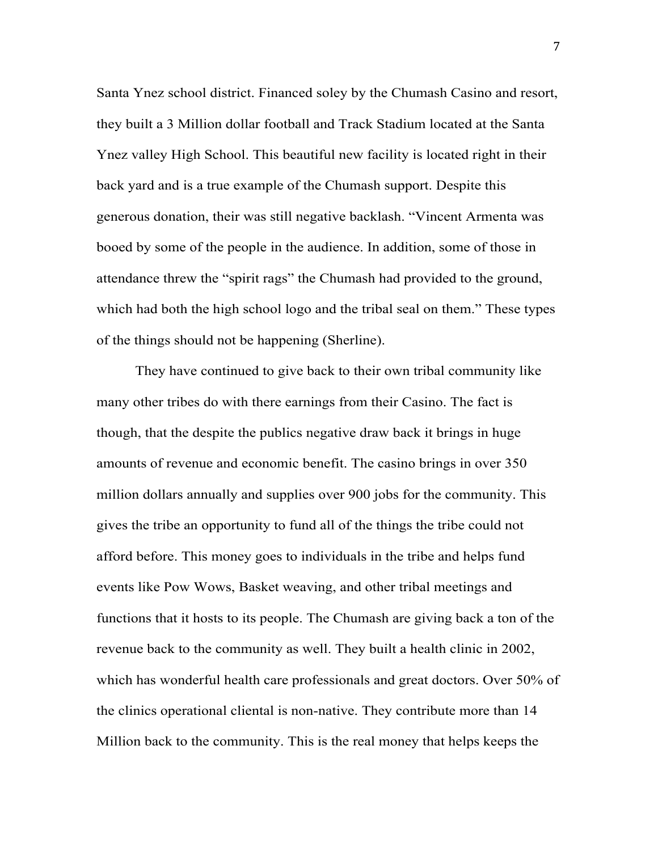Santa Ynez school district. Financed soley by the Chumash Casino and resort, they built a 3 Million dollar football and Track Stadium located at the Santa Ynez valley High School. This beautiful new facility is located right in their back yard and is a true example of the Chumash support. Despite this generous donation, their was still negative backlash. "Vincent Armenta was booed by some of the people in the audience. In addition, some of those in attendance threw the "spirit rags" the Chumash had provided to the ground, which had both the high school logo and the tribal seal on them." These types of the things should not be happening (Sherline).

They have continued to give back to their own tribal community like many other tribes do with there earnings from their Casino. The fact is though, that the despite the publics negative draw back it brings in huge amounts of revenue and economic benefit. The casino brings in over 350 million dollars annually and supplies over 900 jobs for the community. This gives the tribe an opportunity to fund all of the things the tribe could not afford before. This money goes to individuals in the tribe and helps fund events like Pow Wows, Basket weaving, and other tribal meetings and functions that it hosts to its people. The Chumash are giving back a ton of the revenue back to the community as well. They built a health clinic in 2002, which has wonderful health care professionals and great doctors. Over 50% of the clinics operational cliental is non-native. They contribute more than 14 Million back to the community. This is the real money that helps keeps the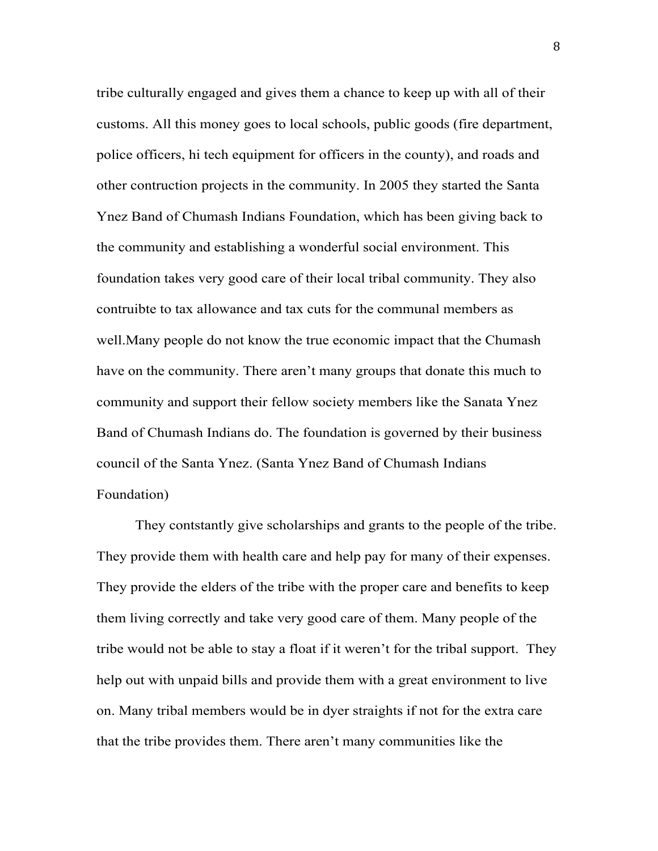tribe culturally engaged and gives them a chance to keep up with all of their customs. All this money goes to local schools, public goods (fire department, police officers, hi tech equipment for officers in the county), and roads and other contruction projects in the community. In 2005 they started the Santa Ynez Band of Chumash Indians Foundation, which has been giving back to the community and establishing a wonderful social environment. This foundation takes very good care of their local tribal community. They also contruibte to tax allowance and tax cuts for the communal members as well.Many people do not know the true economic impact that the Chumash have on the community. There aren't many groups that donate this much to community and support their fellow society members like the Sanata Ynez Band of Chumash Indians do. The foundation is governed by their business council of the Santa Ynez. (Santa Ynez Band of Chumash Indians Foundation)

They contstantly give scholarships and grants to the people of the tribe. They provide them with health care and help pay for many of their expenses. They provide the elders of the tribe with the proper care and benefits to keep them living correctly and take very good care of them. Many people of the tribe would not be able to stay a float if it weren't for the tribal support. They help out with unpaid bills and provide them with a great environment to live on. Many tribal members would be in dyer straights if not for the extra care that the tribe provides them. There aren't many communities like the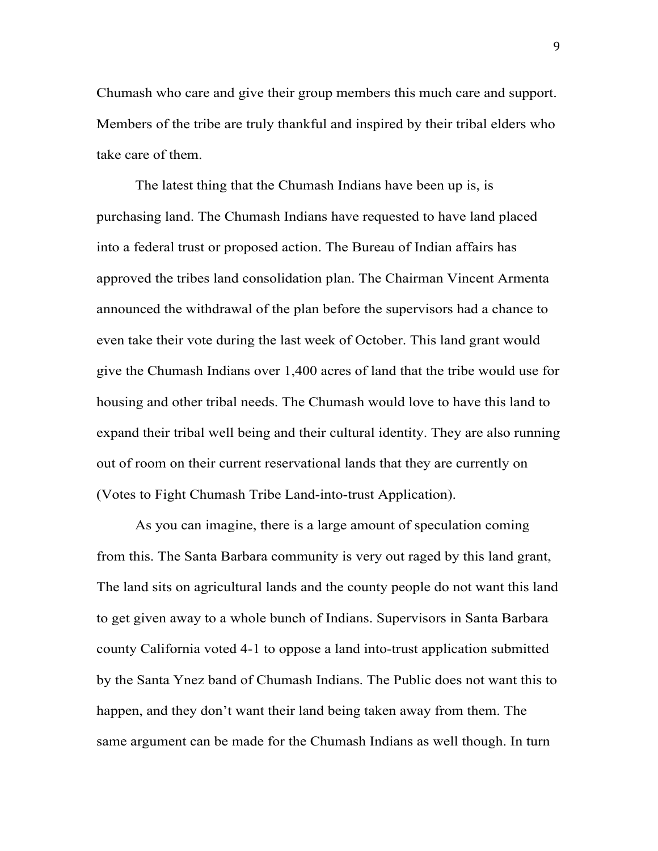Chumash who care and give their group members this much care and support. Members of the tribe are truly thankful and inspired by their tribal elders who take care of them.

The latest thing that the Chumash Indians have been up is, is purchasing land. The Chumash Indians have requested to have land placed into a federal trust or proposed action. The Bureau of Indian affairs has approved the tribes land consolidation plan. The Chairman Vincent Armenta announced the withdrawal of the plan before the supervisors had a chance to even take their vote during the last week of October. This land grant would give the Chumash Indians over 1,400 acres of land that the tribe would use for housing and other tribal needs. The Chumash would love to have this land to expand their tribal well being and their cultural identity. They are also running out of room on their current reservational lands that they are currently on (Votes to Fight Chumash Tribe Land-into-trust Application).

As you can imagine, there is a large amount of speculation coming from this. The Santa Barbara community is very out raged by this land grant, The land sits on agricultural lands and the county people do not want this land to get given away to a whole bunch of Indians. Supervisors in Santa Barbara county California voted 4-1 to oppose a land into-trust application submitted by the Santa Ynez band of Chumash Indians. The Public does not want this to happen, and they don't want their land being taken away from them. The same argument can be made for the Chumash Indians as well though. In turn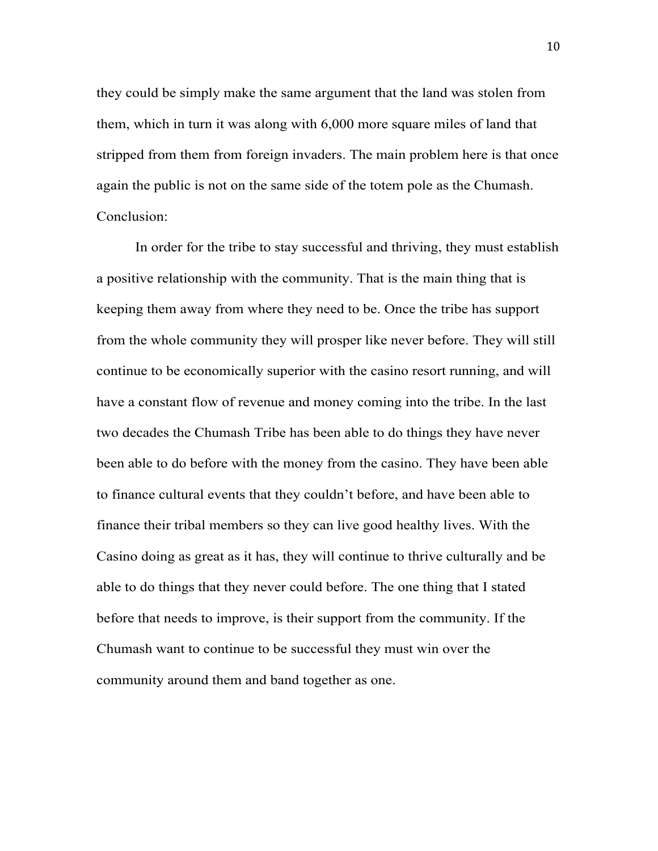they could be simply make the same argument that the land was stolen from them, which in turn it was along with 6,000 more square miles of land that stripped from them from foreign invaders. The main problem here is that once again the public is not on the same side of the totem pole as the Chumash. Conclusion:

In order for the tribe to stay successful and thriving, they must establish a positive relationship with the community. That is the main thing that is keeping them away from where they need to be. Once the tribe has support from the whole community they will prosper like never before. They will still continue to be economically superior with the casino resort running, and will have a constant flow of revenue and money coming into the tribe. In the last two decades the Chumash Tribe has been able to do things they have never been able to do before with the money from the casino. They have been able to finance cultural events that they couldn't before, and have been able to finance their tribal members so they can live good healthy lives. With the Casino doing as great as it has, they will continue to thrive culturally and be able to do things that they never could before. The one thing that I stated before that needs to improve, is their support from the community. If the Chumash want to continue to be successful they must win over the community around them and band together as one.